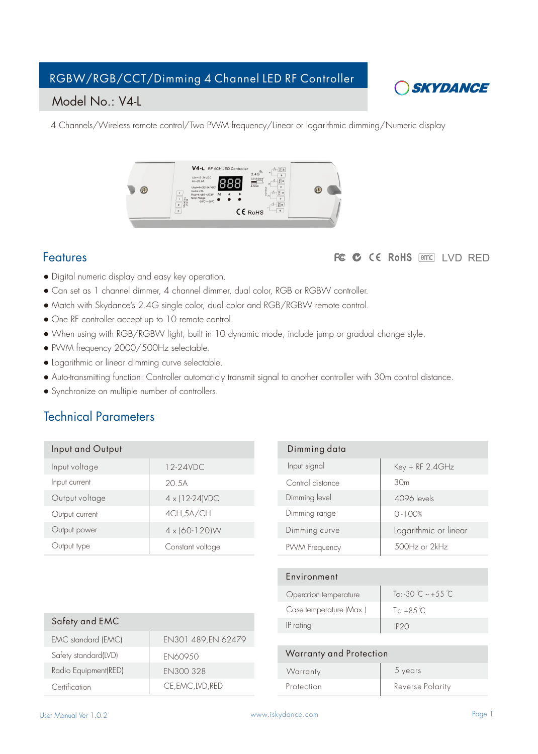# RGBW/RGB/CCT/Dimming 4 Channel LED RF Controller



### Model No.: V4-L

4 Channels/Wireless remote control/Two PWM frequency/Linear or logarithmic dimming/Numeric display



### Features

### FC C CE RoHS and LVD RED

- Digital numeric display and easy key operation.
- Can set as 1 channel dimmer, 4 channel dimmer, dual color, RGB or RGBW controller.
- Match with Skydance's 2.4G single color, dual color and RGB/RGBW remote control.
- One RF controller accept up to 10 remote control.
- When using with RGB/RGBW light, built in 10 dynamic mode, include jump or gradual change style.
- PWM frequency 2000/500Hz selectable.
- Logarithmic or linear dimming curve selectable.
- Auto-transmitting function: Controller automaticly transmit signal to another controller with 30m control distance.
- Synchronize on multiple number of controllers.

# Technical Parameters

| Input and Output |                          |
|------------------|--------------------------|
| Input voltage    | 12-24VDC                 |
| Input current    | 20.5A                    |
| Output voltage   | $4 \times (12 - 24)$ VDC |
| Output current   | 4CH, 5A/CH               |
| Output power     | $4 \times (60 - 120)$ W  |
| Output type      | Constant voltage         |
|                  |                          |

| Dimming data     |                       |
|------------------|-----------------------|
| Input signal     | Key + RF 2.4GHz       |
| Control distance | 30 <sub>m</sub>       |
| Dimming level    | 4096 levels           |
| Dimming range    | $0 - 100%$            |
| Dimming curve    | Logarithmic or linear |
| PWM Frequency    | $500Hz$ or $2kHz$     |
|                  |                       |

| Environment             |                                    |
|-------------------------|------------------------------------|
| Operation temperature   | $Tg:30^{\circ}$ $\sim +55^{\circ}$ |
| Case temperature (Max.) | $Tc + 8.5^{\circ}C$                |
| IP rating               | IP2O                               |
|                         |                                    |

|                      |                     | IF rating                      |
|----------------------|---------------------|--------------------------------|
| EMC standard (EMC)   | EN301 489, EN 62479 |                                |
| Safety standard(LVD) | <b>EN60950</b>      | <b>Warranty and Protection</b> |
| Radio Equipment(RED) | <b>EN300 328</b>    | Warranty                       |
| Certification        | CE, EMC, LVD, RED   | Protection                     |

| Warranty and Protection |                  |
|-------------------------|------------------|
| Warranty                | 5 years          |
| Protection              | Reverse Polarity |

Safety and EMC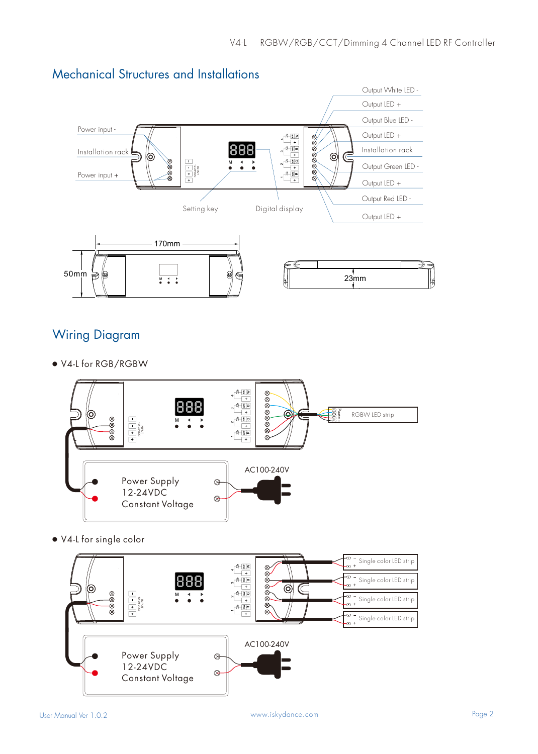

# Mechanical Structures and Installations

# Wiring Diagram

**●** V4-L for RGB/RGBW



**●** V4-L for single color

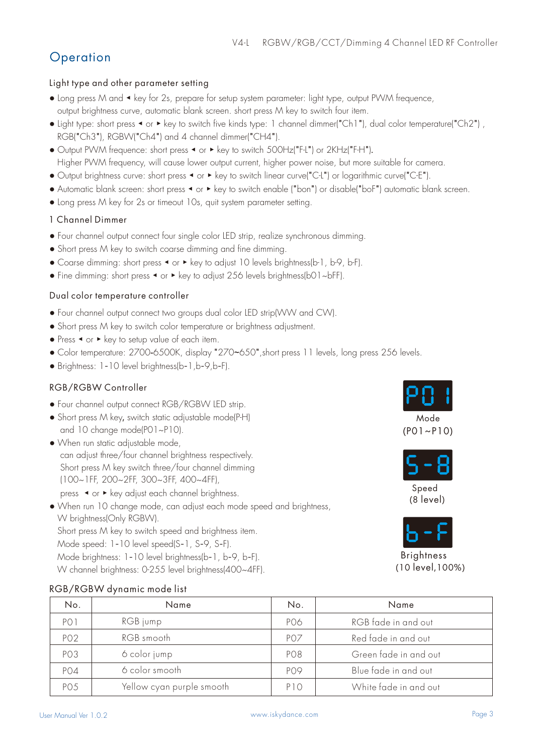# **Operation**

### Light type and other parameter setting

- Long press M and ◀ key for 2s, prepare for setup system parameter: light type, output PWM frequence, output brightness curve, automatic blank screen. short press M key to switch four item.
- Light type: short press ◀ or ▶ key to switch five kinds type: 1 channel dimmer("Ch1"), dual color temperature("Ch2") , RGB("Ch3"), RGBW("Ch4") and 4 channel dimmer("CH4").
- Output PWM frequence: short press ◀ or ▶ key to switch 500Hz("F-L") or 2KHz("F-H").
- Higher PWM frequency, will cause lower output current, higher power noise, but more suitable for camera.
- Output brightness curve: short press ◀ or ▶ key to switch linear curve("C-L") or logarithmic curve("C-E").
- Automatic blank screen: short press ◀ or ▶ key to switch enable ("bon") or disable("boF") automatic blank screen.
- Long press M key for 2s or timeout 10s, quit system parameter setting.

### 1 Channel Dimmer

- Four channel output connect four single color LED strip, realize synchronous dimming.
- Short press M key to switch coarse dimming and fine dimming.
- Coarse dimming: short press ◀ or ▶ key to adjust 10 levels brightness(b-1, b-9, b-F).
- Fine dimming: short press ◀ or ▶ key to adjust 256 levels brightness(b01~bFF).

### Dual color temperature controller

- Four channel output connect two groups dual color LED strip(WW and CW).
- Short press M key to switch color temperature or brightness adjustment.
- Press ◀ or ▶ key to setup value of each item.
- Color temperature: 2700-6500K, display "270~650", short press 11 levels, long press 256 levels.
- Brightness: 1-10 level brightness(b-1,b-9,b-F).

### RGB/RGBW Controller

- Four channel output connect RGB/RGBW LED strip.
- Short press M key, switch static adjustable mode(P-H) and 10 change mode(P01~P10).
- When run static adjustable mode, can adjust three/four channel brightness respectively. Short press M key switch three/four channel dimming (100~1FF, 200~2FF, 300~3FF, 400~4FF),
	- press ◀ or ▶ key adjust each channel brightness.
- When run 10 change mode, can adjust each mode speed and brightness, W brightness(Only RGBW). Short press M key to switch speed and brightness item. Mode speed: 1-10 level speed(S-1, S-9, S-F). Mode brightness: 1-10 level brightness(b-1, b-9, b-F).
	- W channel brightness: 0-255 level brightness(400~4FF).

| Mode |  |
|------|--|

# (P01~P10)



 Speed (8 level)



**Brightness** (10 level,100%)

| No.             | Name                      | No.             | Name                  |
|-----------------|---------------------------|-----------------|-----------------------|
| PO 1            | RGB jump                  | PO6             | RGB fade in and out   |
| PO <sub>2</sub> | RGB smooth                | PO <sub>7</sub> | Red fade in and out   |
| PO <sub>3</sub> | 6 color jump              | PO <sub>8</sub> | Green fade in and out |
| PO4             | 6 color smooth            | PO <sub>9</sub> | Blue fade in and out  |
| PO <sub>5</sub> | Yellow cyan purple smooth | P <sub>10</sub> | White fade in and out |

### RGB/RGBW dynamic mode list